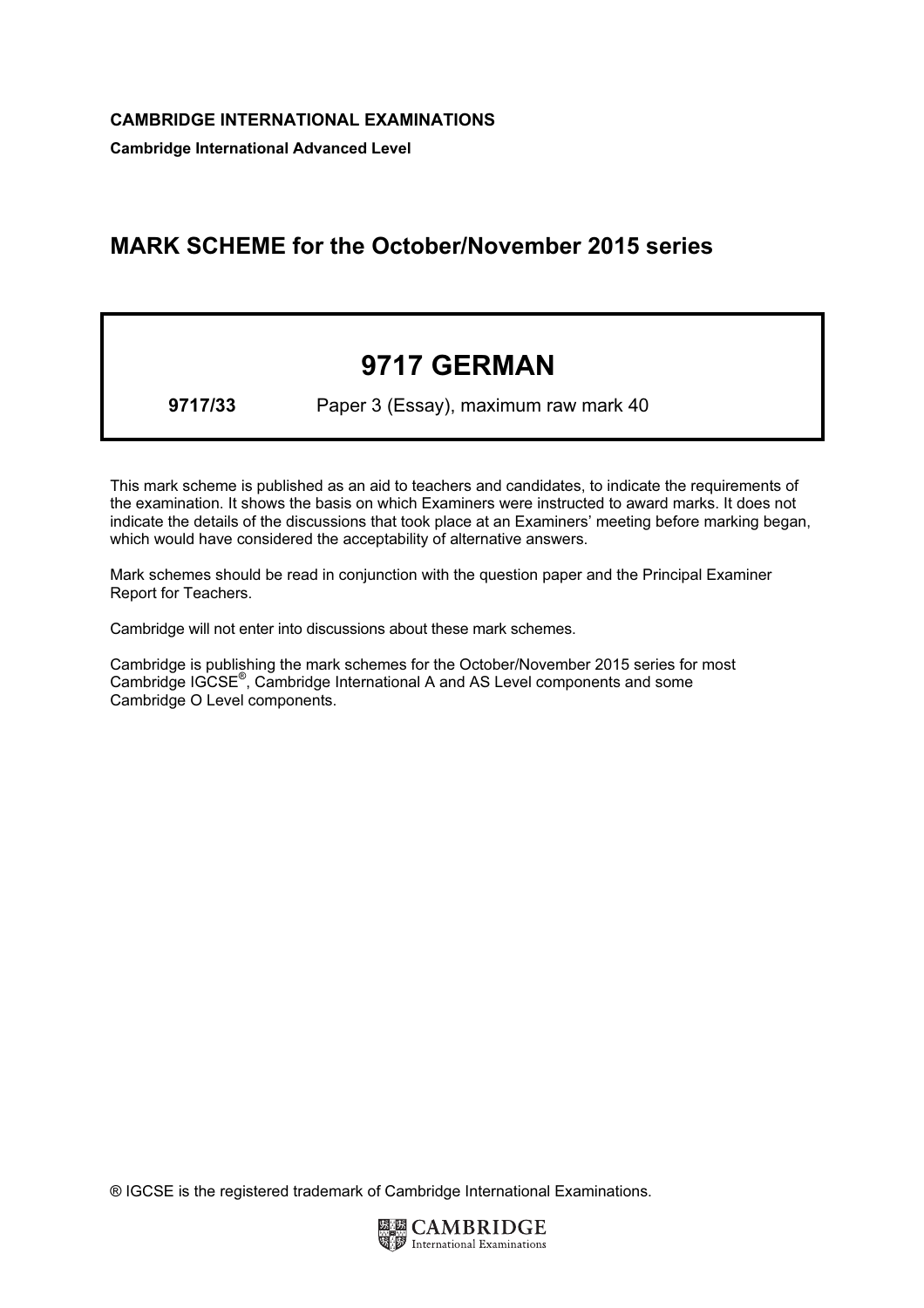Cambridge International Advanced Level

## MARK SCHEME for the October/November 2015 series

## 9717 GERMAN

9717/33 Paper 3 (Essay), maximum raw mark 40

This mark scheme is published as an aid to teachers and candidates, to indicate the requirements of the examination. It shows the basis on which Examiners were instructed to award marks. It does not indicate the details of the discussions that took place at an Examiners' meeting before marking began, which would have considered the acceptability of alternative answers.

Mark schemes should be read in conjunction with the question paper and the Principal Examiner Report for Teachers.

Cambridge will not enter into discussions about these mark schemes.

Cambridge is publishing the mark schemes for the October/November 2015 series for most Cambridge IGCSE*®* , Cambridge International A and AS Level components and some Cambridge O Level components.

® IGCSE is the registered trademark of Cambridge International Examinations.